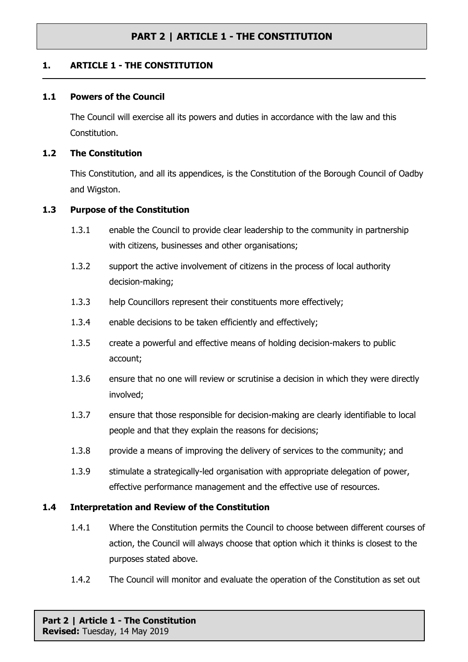### **1. ARTICLE 1 - THE CONSTITUTION**

#### **1.1 Powers of the Council**

The Council will exercise all its powers and duties in accordance with the law and this Constitution.

#### **1.2 The Constitution**

This Constitution, and all its appendices, is the Constitution of the Borough Council of Oadby and Wigston.

#### **1.3 Purpose of the Constitution**

- 1.3.1 enable the Council to provide clear leadership to the community in partnership with citizens, businesses and other organisations;
- 1.3.2 support the active involvement of citizens in the process of local authority decision-making;
- 1.3.3 help Councillors represent their constituents more effectively;
- 1.3.4 enable decisions to be taken efficiently and effectively;
- 1.3.5 create a powerful and effective means of holding decision-makers to public account;
- 1.3.6 ensure that no one will review or scrutinise a decision in which they were directly involved;
- 1.3.7 ensure that those responsible for decision-making are clearly identifiable to local people and that they explain the reasons for decisions;
- 1.3.8 provide a means of improving the delivery of services to the community; and
- 1.3.9 stimulate a strategically-led organisation with appropriate delegation of power, effective performance management and the effective use of resources.

#### **1.4 Interpretation and Review of the Constitution**

- 1.4.1 Where the Constitution permits the Council to choose between different courses of action, the Council will always choose that option which it thinks is closest to the purposes stated above.
- 1.4.2 The Council will monitor and evaluate the operation of the Constitution as set out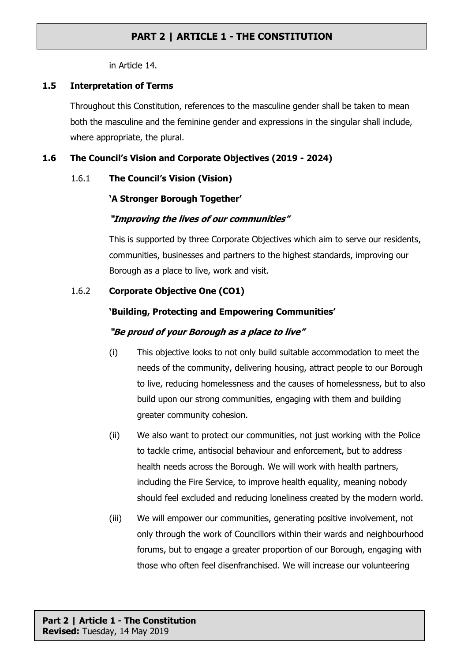in Article 14.

#### **1.5 Interpretation of Terms**

Throughout this Constitution, references to the masculine gender shall be taken to mean both the masculine and the feminine gender and expressions in the singular shall include, where appropriate, the plural.

### **1.6 The Council's Vision and Corporate Objectives (2019 - 2024)**

### 1.6.1 **The Council's Vision (Vision)**

### **'A Stronger Borough Together'**

### *"Improving the lives of our communities"*

This is supported by three Corporate Objectives which aim to serve our residents, communities, businesses and partners to the highest standards, improving our Borough as a place to live, work and visit.

### 1.6.2 **Corporate Objective One (CO1)**

### **'Building, Protecting and Empowering Communities'**

### *"Be proud of your Borough as <sup>a</sup> place to live"*

- (i) This objective looks to not only build suitable accommodation to meet the needs of the community, delivering housing, attract people to our Borough to live, reducing homelessness and the causes of homelessness, but to also build upon our strong communities, engaging with them and building greater community cohesion.
- (ii) We also want to protect our communities, not just working with the Police to tackle crime, antisocial behaviour and enforcement, but to address health needs across the Borough. We will work with health partners, including the Fire Service, to improve health equality, meaning nobody should feel excluded and reducing loneliness created by the modern world.
- (iii) We will empower our communities, generating positive involvement, not only through the work of Councillors within their wards and neighbourhood forums, but to engage a greater proportion of our Borough, engaging with those who often feel disenfranchised. We will increase our volunteering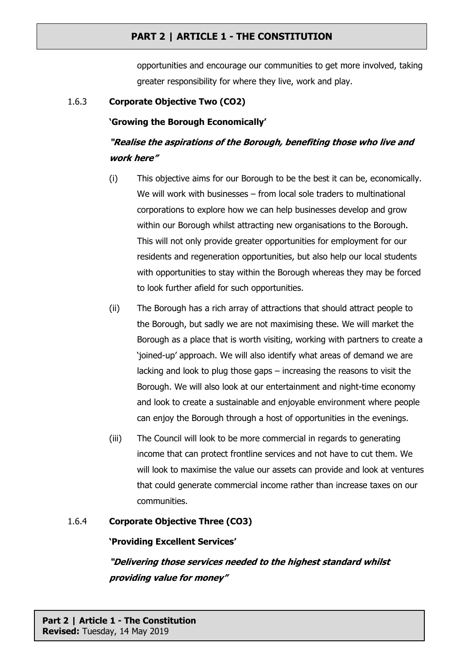opportunities and encourage our communities to get more involved, taking greater responsibility for where they live, work and play.

### 1.6.3 **Corporate Objective Two (CO2)**

### **'Growing the Borough Economically'**

# *"Realise the aspirations of the Borough, benefiting those who live and work here"*

- (i) This objective aims for our Borough to be the best it can be, economically. We will work with businesses – from local sole traders to multinational corporations to explore how we can help businesses develop and grow within our Borough whilst attracting new organisations to the Borough. This will not only provide greater opportunities for employment for our residents and regeneration opportunities, but also help our local students with opportunities to stay within the Borough whereas they may be forced to look further afield for such opportunities.
- (ii) The Borough has a rich array of attractions that should attract people to the Borough, but sadly we are not maximising these. We will market the Borough as a place that is worth visiting, working with partners to create a 'joined-up' approach. We will also identify what areas of demand we are lacking and look to plug those gaps – increasing the reasons to visit the Borough. We will also look at our entertainment and night-time economy and look to create a sustainable and enjoyable environment where people can enjoy the Borough through a host of opportunities in the evenings.
- (iii) The Council will look to be more commercial in regards to generating income that can protect frontline services and not have to cut them. We will look to maximise the value our assets can provide and look at ventures that could generate commercial income rather than increase taxes on our communities.

## 1.6.4 **Corporate Objective Three (CO3)**

#### **'Providing Excellent Services'**

*"Delivering those services needed to the highest standard whilst providing value for money"*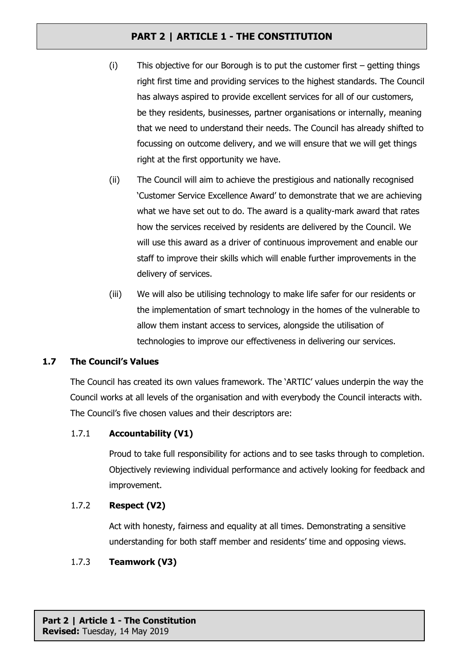- (i) This objective for our Borough is to put the customer first getting things right first time and providing services to the highest standards. The Council has always aspired to provide excellent services for all of our customers, be they residents, businesses, partner organisations or internally, meaning that we need to understand their needs. The Council has already shifted to focussing on outcome delivery, and we will ensure that we will get things right at the first opportunity we have.
- (ii) The Council will aim to achieve the prestigious and nationally recognised 'Customer Service Excellence Award' to demonstrate that we are achieving what we have set out to do. The award is a quality-mark award that rates how the services received by residents are delivered by the Council. We will use this award as a driver of continuous improvement and enable our staff to improve their skills which will enable further improvements in the delivery of services.
- (iii) We will also be utilising technology to make life safer for our residents or the implementation of smart technology in the homes of the vulnerable to allow them instant access to services, alongside the utilisation of technologies to improve our effectiveness in delivering our services.

## **1.7 The Council's Values**

The Council has created its own values framework. The 'ARTIC' values underpin the way the Council works at all levels of the organisation and with everybody the Council interacts with. The Council's five chosen values and their descriptors are:

## 1.7.1 **Accountability (V1)**

Proud to take full responsibility for actions and to see tasks through to completion. Objectively reviewing individual performance and actively looking for feedback and improvement.

## 1.7.2 **Respect (V2)**

Act with honesty, fairness and equality at all times. Demonstrating a sensitive understanding for both staff member and residents' time and opposing views.

## 1.7.3 **Teamwork (V3)**